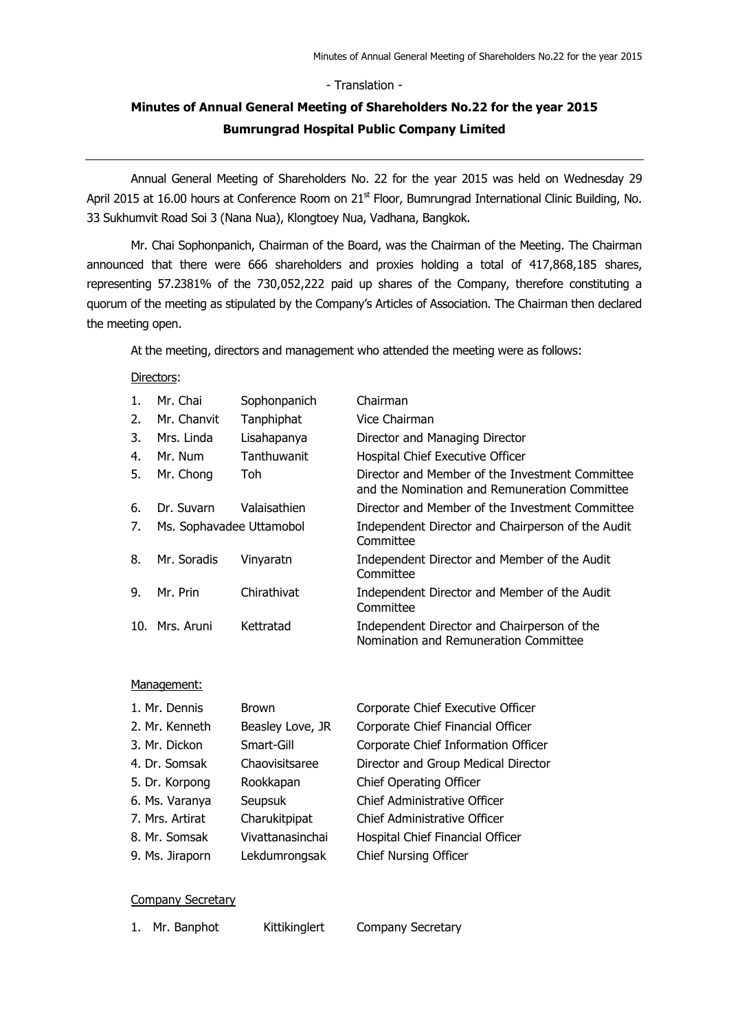- Translation -

# **Minutes of Annual General Meeting of Shareholders No.22 for the year 2015 Bumrungrad Hospital Public Company Limited**

Annual General Meeting of Shareholders No. 22 for the year 2015 was held on Wednesday 29 April 2015 at 16.00 hours at Conference Room on 21<sup>st</sup> Floor, Bumrungrad International Clinic Building, No. 33 Sukhumvit Road Soi 3 (Nana Nua), Klongtoey Nua, Vadhana, Bangkok.

Mr. Chai Sophonpanich, Chairman of the Board, was the Chairman of the Meeting. The Chairman announced that there were 666 shareholders and proxies holding a total of 417,868,185 shares, representing 57.2381% of the 730,052,222 paid up shares of the Company, therefore constituting a quorum of the meeting as stipulated by the Company's Articles of Association. The Chairman then declared the meeting open.

At the meeting, directors and management who attended the meeting were as follows:

#### Directors:

| 1. | Mr. Chai                 | Sophonpanich | Chairman                                                                                         |
|----|--------------------------|--------------|--------------------------------------------------------------------------------------------------|
| 2. | Mr. Chanvit              | Tanphiphat   | Vice Chairman                                                                                    |
| 3. | Mrs. Linda               | Lisahapanya  | Director and Managing Director                                                                   |
| 4. | Mr. Num                  | Tanthuwanit  | Hospital Chief Executive Officer                                                                 |
| 5. | Mr. Chong                | Toh          | Director and Member of the Investment Committee<br>and the Nomination and Remuneration Committee |
| 6. | Dr. Suvarn               | Valaisathien | Director and Member of the Investment Committee                                                  |
| 7. | Ms. Sophavadee Uttamobol |              | Independent Director and Chairperson of the Audit<br>Committee                                   |
| 8. | Mr. Soradis              | Vinyaratn    | Independent Director and Member of the Audit<br>Committee                                        |
| 9. | Mr. Prin                 | Chirathivat  | Independent Director and Member of the Audit<br>Committee                                        |
|    | 10. Mrs. Aruni           | Kettratad    | Independent Director and Chairperson of the<br>Nomination and Remuneration Committee             |

#### Management:

| <b>Brown</b>     | Corporate Chief Executive Officer   |
|------------------|-------------------------------------|
| Beasley Love, JR | Corporate Chief Financial Officer   |
| Smart-Gill       | Corporate Chief Information Officer |
| Chaovisitsaree   | Director and Group Medical Director |
| Rookkapan        | <b>Chief Operating Officer</b>      |
| Seupsuk          | Chief Administrative Officer        |
| Charukitpipat    | Chief Administrative Officer        |
| Vivattanasinchai | Hospital Chief Financial Officer    |
| Lekdumrongsak    | <b>Chief Nursing Officer</b>        |
|                  |                                     |

### Company Secretary

|  | Mr. Banphot | Kittikinglert | <b>Company Secretary</b> |  |
|--|-------------|---------------|--------------------------|--|
|--|-------------|---------------|--------------------------|--|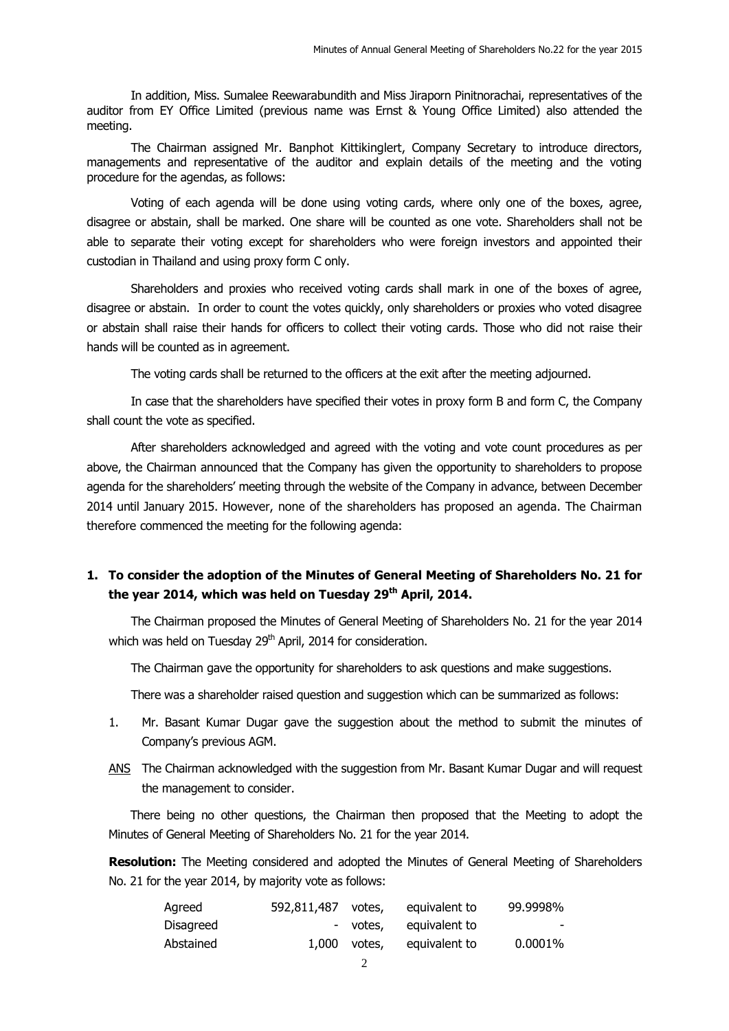In addition, Miss. Sumalee Reewarabundith and Miss Jiraporn Pinitnorachai, representatives of the auditor from EY Office Limited (previous name was Ernst & Young Office Limited) also attended the meeting.

The Chairman assigned Mr. Banphot Kittikinglert, Company Secretary to introduce directors, managements and representative of the auditor and explain details of the meeting and the voting procedure for the agendas, as follows:

Voting of each agenda will be done using voting cards, where only one of the boxes, agree, disagree or abstain, shall be marked. One share will be counted as one vote. Shareholders shall not be able to separate their voting except for shareholders who were foreign investors and appointed their custodian in Thailand and using proxy form C only.

Shareholders and proxies who received voting cards shall mark in one of the boxes of agree, disagree or abstain. In order to count the votes quickly, only shareholders or proxies who voted disagree or abstain shall raise their hands for officers to collect their voting cards. Those who did not raise their hands will be counted as in agreement.

The voting cards shall be returned to the officers at the exit after the meeting adjourned.

In case that the shareholders have specified their votes in proxy form B and form C, the Company shall count the vote as specified.

After shareholders acknowledged and agreed with the voting and vote count procedures as per above, the Chairman announced that the Company has given the opportunity to shareholders to propose agenda for the shareholders' meeting through the website of the Company in advance, between December 2014 until January 2015. However, none of the shareholders has proposed an agenda. The Chairman therefore commenced the meeting for the following agenda:

# **1. To consider the adoption of the Minutes of General Meeting of Shareholders No. 21 for the year 2014, which was held on Tuesday 29th April, 2014.**

The Chairman proposed the Minutes of General Meeting of Shareholders No. 21 for the year 2014 which was held on Tuesday 29<sup>th</sup> April, 2014 for consideration.

The Chairman gave the opportunity for shareholders to ask questions and make suggestions.

There was a shareholder raised question and suggestion which can be summarized as follows:

- 1. Mr. Basant Kumar Dugar gave the suggestion about the method to submit the minutes of Company's previous AGM.
- ANS The Chairman acknowledged with the suggestion from Mr. Basant Kumar Dugar and will request the management to consider.

There being no other questions, the Chairman then proposed that the Meeting to adopt the Minutes of General Meeting of Shareholders No. 21 for the year 2014.

**Resolution:** The Meeting considered and adopted the Minutes of General Meeting of Shareholders No. 21 for the year 2014, by majority vote as follows:

| Agreed    | 592,811,487 votes, |              | equivalent to          | 99.9998% |
|-----------|--------------------|--------------|------------------------|----------|
| Disagreed |                    |              | - votes, equivalent to | $\sim$   |
| Abstained |                    | 1,000 votes, | equivalent to          | 0.0001%  |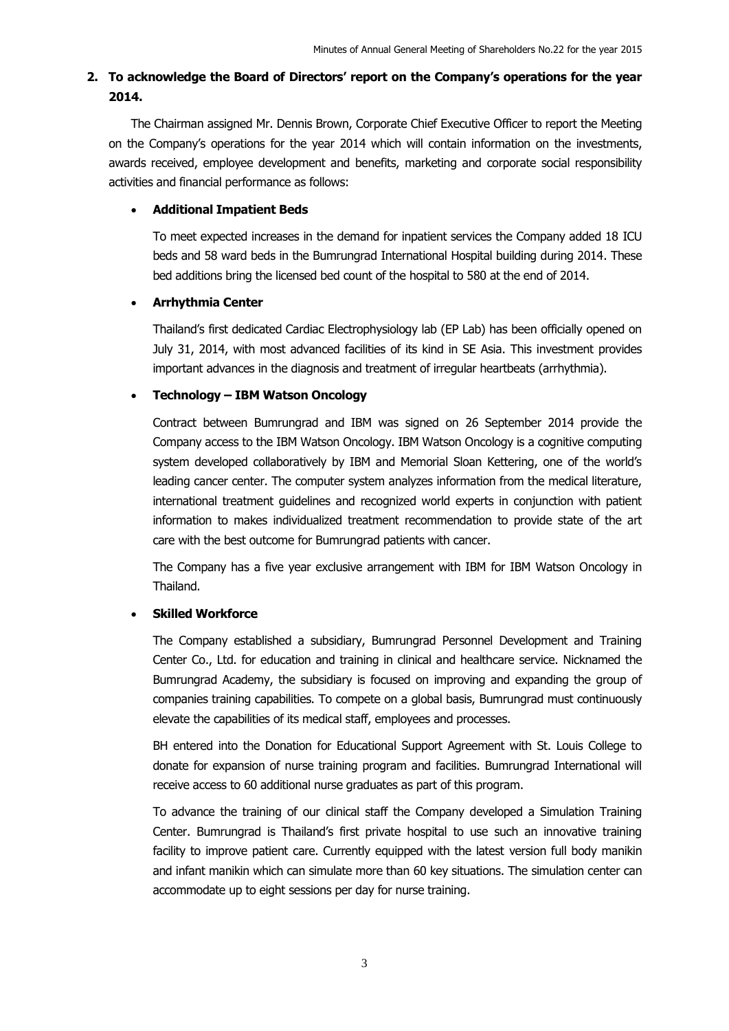# **2. To acknowledge the Board of Directors' report on the Company's operations for the year 2014.**

The Chairman assigned Mr. Dennis Brown, Corporate Chief Executive Officer to report the Meeting on the Company's operations for the year 2014 which will contain information on the investments, awards received, employee development and benefits, marketing and corporate social responsibility activities and financial performance as follows:

## **Additional Impatient Beds**

To meet expected increases in the demand for inpatient services the Company added 18 ICU beds and 58 ward beds in the Bumrungrad International Hospital building during 2014. These bed additions bring the licensed bed count of the hospital to 580 at the end of 2014.

## **Arrhythmia Center**

Thailand's first dedicated Cardiac Electrophysiology lab (EP Lab) has been officially opened on July 31, 2014, with most advanced facilities of its kind in SE Asia. This investment provides important advances in the diagnosis and treatment of irregular heartbeats (arrhythmia).

## **Technology – IBM Watson Oncology**

Contract between Bumrungrad and IBM was signed on 26 September 2014 provide the Company access to the IBM Watson Oncology. IBM Watson Oncology is a cognitive computing system developed collaboratively by IBM and Memorial Sloan Kettering, one of the world's leading cancer center. The computer system analyzes information from the medical literature, international treatment guidelines and recognized world experts in conjunction with patient information to makes individualized treatment recommendation to provide state of the art care with the best outcome for Bumrungrad patients with cancer.

The Company has a five year exclusive arrangement with IBM for IBM Watson Oncology in Thailand.

## **Skilled Workforce**

The Company established a subsidiary, Bumrungrad Personnel Development and Training Center Co., Ltd. for education and training in clinical and healthcare service. Nicknamed the Bumrungrad Academy, the subsidiary is focused on improving and expanding the group of companies training capabilities. To compete on a global basis, Bumrungrad must continuously elevate the capabilities of its medical staff, employees and processes.

BH entered into the Donation for Educational Support Agreement with St. Louis College to donate for expansion of nurse training program and facilities. Bumrungrad International will receive access to 60 additional nurse graduates as part of this program.

To advance the training of our clinical staff the Company developed a Simulation Training Center. Bumrungrad is Thailand's first private hospital to use such an innovative training facility to improve patient care. Currently equipped with the latest version full body manikin and infant manikin which can simulate more than 60 key situations. The simulation center can accommodate up to eight sessions per day for nurse training.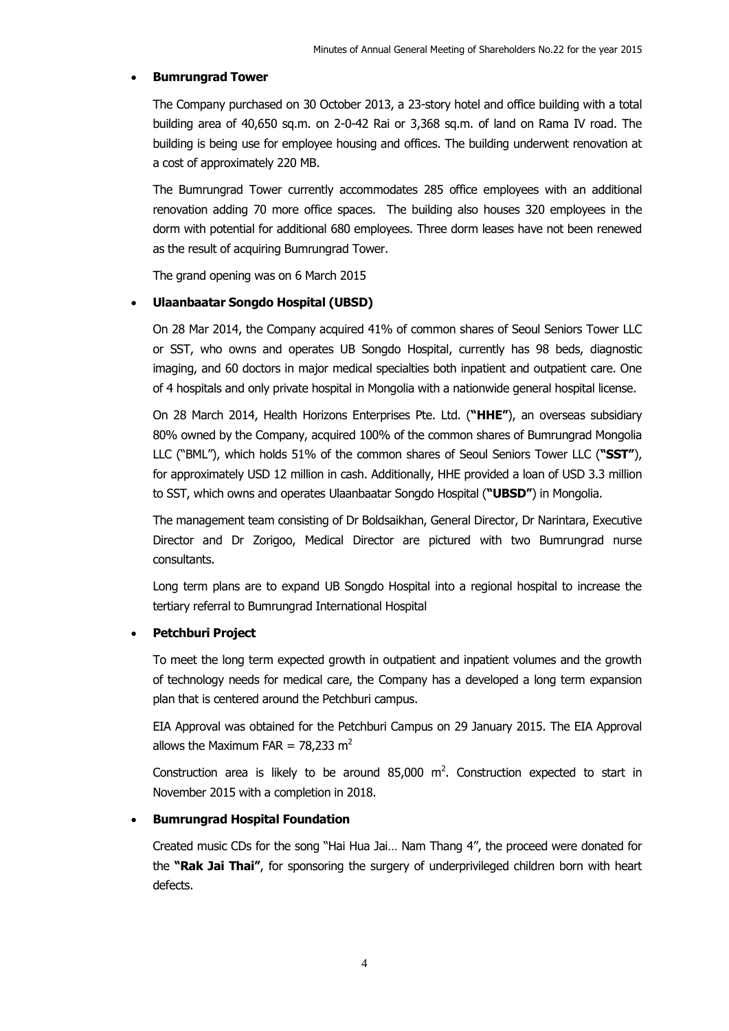#### **Bumrungrad Tower**

The Company purchased on 30 October 2013, a 23-story hotel and office building with a total building area of 40,650 sq.m. on 2-0-42 Rai or 3,368 sq.m. of land on Rama IV road. The building is being use for employee housing and offices. The building underwent renovation at a cost of approximately 220 MB.

The Bumrungrad Tower currently accommodates 285 office employees with an additional renovation adding 70 more office spaces. The building also houses 320 employees in the dorm with potential for additional 680 employees. Three dorm leases have not been renewed as the result of acquiring Bumrungrad Tower.

The grand opening was on 6 March 2015

#### **Ulaanbaatar Songdo Hospital (UBSD)**

On 28 Mar 2014, the Company acquired 41% of common shares of Seoul Seniors Tower LLC or SST, who owns and operates UB Songdo Hospital, currently has 98 beds, diagnostic imaging, and 60 doctors in major medical specialties both inpatient and outpatient care. One of 4 hospitals and only private hospital in Mongolia with a nationwide general hospital license.

On 28 March 2014, Health Horizons Enterprises Pte. Ltd. (**"HHE"**), an overseas subsidiary 80% owned by the Company, acquired 100% of the common shares of Bumrungrad Mongolia LLC ("BML"), which holds 51% of the common shares of Seoul Seniors Tower LLC (**"SST"**), for approximately USD 12 million in cash. Additionally, HHE provided a loan of USD 3.3 million to SST, which owns and operates Ulaanbaatar Songdo Hospital (**"UBSD"**) in Mongolia.

The management team consisting of Dr Boldsaikhan, General Director, Dr Narintara, Executive Director and Dr Zorigoo, Medical Director are pictured with two Bumrungrad nurse consultants.

Long term plans are to expand UB Songdo Hospital into a regional hospital to increase the tertiary referral to Bumrungrad International Hospital

#### **Petchburi Project**

To meet the long term expected growth in outpatient and inpatient volumes and the growth of technology needs for medical care, the Company has a developed a long term expansion plan that is centered around the Petchburi campus.

EIA Approval was obtained for the Petchburi Campus on 29 January 2015. The EIA Approval allows the Maximum FAR = 78,233  $m<sup>2</sup>$ 

Construction area is likely to be around  $85,000 \, \text{m}^2$ . Construction expected to start in November 2015 with a completion in 2018.

#### **Bumrungrad Hospital Foundation**

Created music CDs for the song "Hai Hua Jai… Nam Thang 4", the proceed were donated for the **"Rak Jai Thai"**, for sponsoring the surgery of underprivileged children born with heart defects.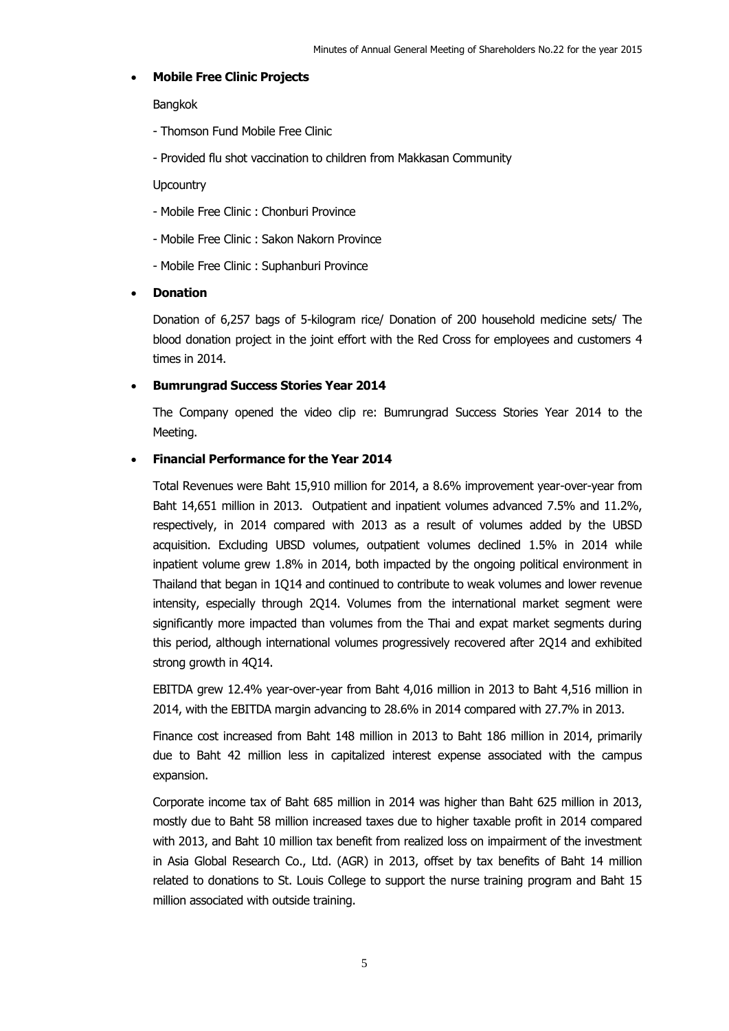## **Mobile Free Clinic Projects**

Bangkok

- Thomson Fund Mobile Free Clinic
- Provided flu shot vaccination to children from Makkasan Community

**Upcountry** 

- Mobile Free Clinic : Chonburi Province
- Mobile Free Clinic : Sakon Nakorn Province
- Mobile Free Clinic : Suphanburi Province
- **Donation**

Donation of 6,257 bags of 5-kilogram rice/ Donation of 200 household medicine sets/ The blood donation project in the joint effort with the Red Cross for employees and customers 4 times in 2014.

## **Bumrungrad Success Stories Year 2014**

The Company opened the video clip re: Bumrungrad Success Stories Year 2014 to the Meeting.

## **Financial Performance for the Year 2014**

Total Revenues were Baht 15,910 million for 2014, a 8.6% improvement year-over-year from Baht 14,651 million in 2013. Outpatient and inpatient volumes advanced 7.5% and 11.2%, respectively, in 2014 compared with 2013 as a result of volumes added by the UBSD acquisition. Excluding UBSD volumes, outpatient volumes declined 1.5% in 2014 while inpatient volume grew 1.8% in 2014, both impacted by the ongoing political environment in Thailand that began in 1Q14 and continued to contribute to weak volumes and lower revenue intensity, especially through 2Q14. Volumes from the international market segment were significantly more impacted than volumes from the Thai and expat market segments during this period, although international volumes progressively recovered after 2Q14 and exhibited strong growth in 4Q14.

EBITDA grew 12.4% year-over-year from Baht 4,016 million in 2013 to Baht 4,516 million in 2014, with the EBITDA margin advancing to 28.6% in 2014 compared with 27.7% in 2013.

Finance cost increased from Baht 148 million in 2013 to Baht 186 million in 2014, primarily due to Baht 42 million less in capitalized interest expense associated with the campus expansion.

Corporate income tax of Baht 685 million in 2014 was higher than Baht 625 million in 2013, mostly due to Baht 58 million increased taxes due to higher taxable profit in 2014 compared with 2013, and Baht 10 million tax benefit from realized loss on impairment of the investment in Asia Global Research Co., Ltd. (AGR) in 2013, offset by tax benefits of Baht 14 million related to donations to St. Louis College to support the nurse training program and Baht 15 million associated with outside training.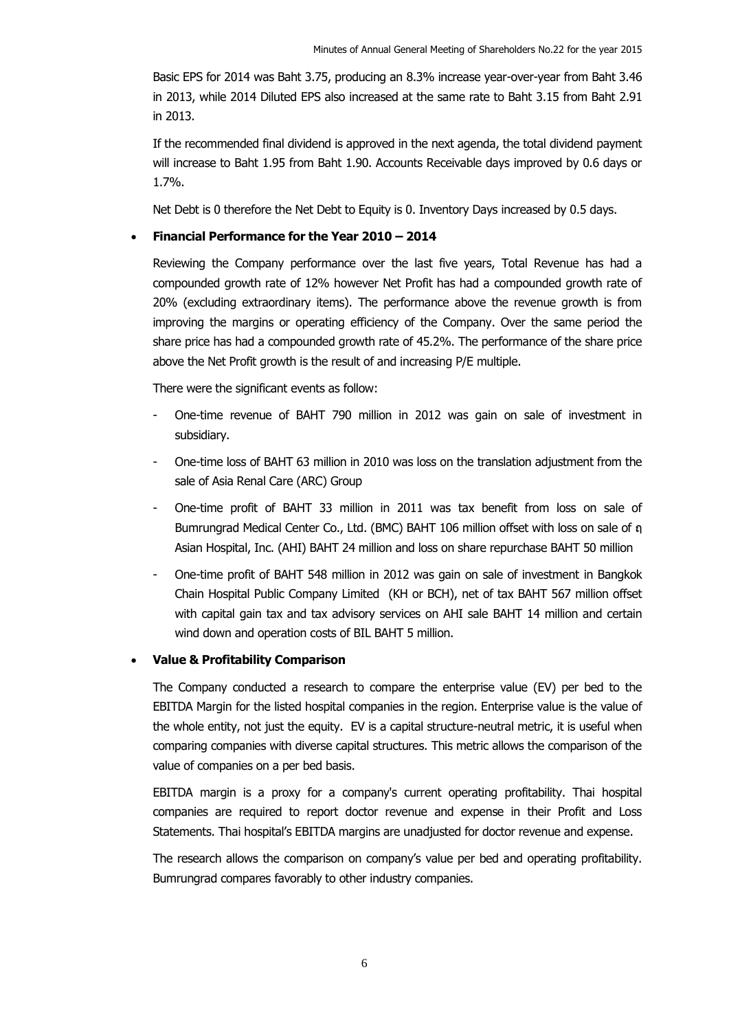Basic EPS for 2014 was Baht 3.75, producing an 8.3% increase year-over-year from Baht 3.46 in 2013, while 2014 Diluted EPS also increased at the same rate to Baht 3.15 from Baht 2.91 in 2013.

If the recommended final dividend is approved in the next agenda, the total dividend payment will increase to Baht 1.95 from Baht 1.90. Accounts Receivable days improved by 0.6 days or 1.7%.

Net Debt is 0 therefore the Net Debt to Equity is 0. Inventory Days increased by 0.5 days.

## **Financial Performance for the Year 2010 – 2014**

Reviewing the Company performance over the last five years, Total Revenue has had a compounded growth rate of 12% however Net Profit has had a compounded growth rate of 20% (excluding extraordinary items). The performance above the revenue growth is from improving the margins or operating efficiency of the Company. Over the same period the share price has had a compounded growth rate of 45.2%. The performance of the share price above the Net Profit growth is the result of and increasing P/E multiple.

There were the significant events as follow:

- One-time revenue of BAHT 790 million in 2012 was gain on sale of investment in subsidiary.
- One-time loss of BAHT 63 million in 2010 was loss on the translation adjustment from the sale of Asia Renal Care (ARC) Group
- One-time profit of BAHT 33 million in 2011 was tax benefit from loss on sale of Bumrungrad Medical Center Co., Ltd. (BMC) BAHT 106 million offset with loss on sale of ฤ Asian Hospital, Inc. (AHI) BAHT 24 million and loss on share repurchase BAHT 50 million
- One-time profit of BAHT 548 million in 2012 was gain on sale of investment in Bangkok Chain Hospital Public Company Limited (KH or BCH), net of tax BAHT 567 million offset with capital gain tax and tax advisory services on AHI sale BAHT 14 million and certain wind down and operation costs of BIL BAHT 5 million.

## **Value & Profitability Comparison**

The Company conducted a research to compare the enterprise value (EV) per bed to the EBITDA Margin for the listed hospital companies in the region. Enterprise value is the value of the whole entity, not just the equity. EV is a capital structure-neutral metric, it is useful when comparing companies with diverse capital structures. This metric allows the comparison of the value of companies on a per bed basis.

EBITDA margin is a proxy for a company's current operating profitability. Thai hospital companies are required to report doctor revenue and expense in their Profit and Loss Statements. Thai hospital's EBITDA margins are unadjusted for doctor revenue and expense.

The research allows the comparison on company's value per bed and operating profitability. Bumrungrad compares favorably to other industry companies.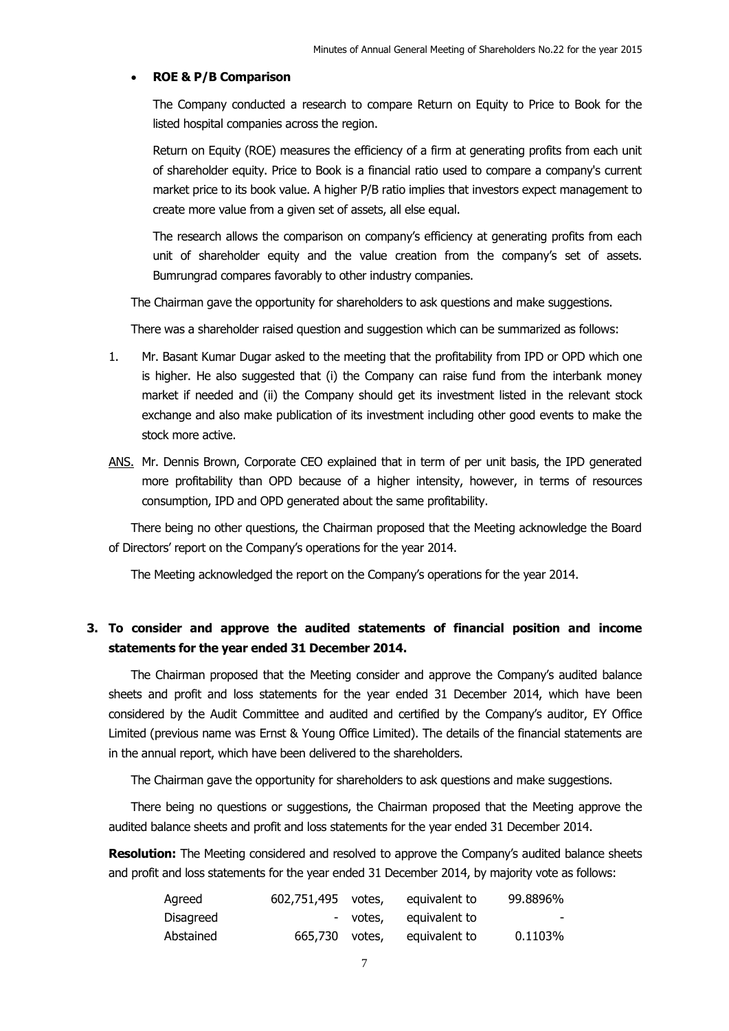## **ROE & P/B Comparison**

The Company conducted a research to compare Return on Equity to Price to Book for the listed hospital companies across the region.

Return on Equity (ROE) measures the efficiency of a firm at generating profits from each unit of shareholder equity. Price to Book is a financial ratio used to compare a company's current market price to its book value. A higher P/B ratio implies that investors expect management to create more value from a given set of assets, all else equal.

The research allows the comparison on company's efficiency at generating profits from each unit of shareholder equity and the value creation from the company's set of assets. Bumrungrad compares favorably to other industry companies.

The Chairman gave the opportunity for shareholders to ask questions and make suggestions.

There was a shareholder raised question and suggestion which can be summarized as follows:

- 1. Mr. Basant Kumar Dugar asked to the meeting that the profitability from IPD or OPD which one is higher. He also suggested that (i) the Company can raise fund from the interbank money market if needed and (ii) the Company should get its investment listed in the relevant stock exchange and also make publication of its investment including other good events to make the stock more active.
- ANS. Mr. Dennis Brown, Corporate CEO explained that in term of per unit basis, the IPD generated more profitability than OPD because of a higher intensity, however, in terms of resources consumption, IPD and OPD generated about the same profitability.

There being no other questions, the Chairman proposed that the Meeting acknowledge the Board of Directors' report on the Company's operations for the year 2014.

The Meeting acknowledged the report on the Company's operations for the year 2014.

## **3. To consider and approve the audited statements of financial position and income statements for the year ended 31 December 2014.**

The Chairman proposed that the Meeting consider and approve the Company's audited balance sheets and profit and loss statements for the year ended 31 December 2014, which have been considered by the Audit Committee and audited and certified by the Company's auditor, EY Office Limited (previous name was Ernst & Young Office Limited). The details of the financial statements are in the annual report, which have been delivered to the shareholders.

The Chairman gave the opportunity for shareholders to ask questions and make suggestions.

There being no questions or suggestions, the Chairman proposed that the Meeting approve the audited balance sheets and profit and loss statements for the year ended 31 December 2014.

**Resolution:** The Meeting considered and resolved to approve the Company's audited balance sheets and profit and loss statements for the year ended 31 December 2014, by majority vote as follows:

| Agreed    | 602,751,495 votes, | equivalent to          | 99.8896% |
|-----------|--------------------|------------------------|----------|
| Disagreed |                    | - votes, equivalent to | $\sim$   |
| Abstained | 665,730 votes,     | equivalent to          | 0.1103%  |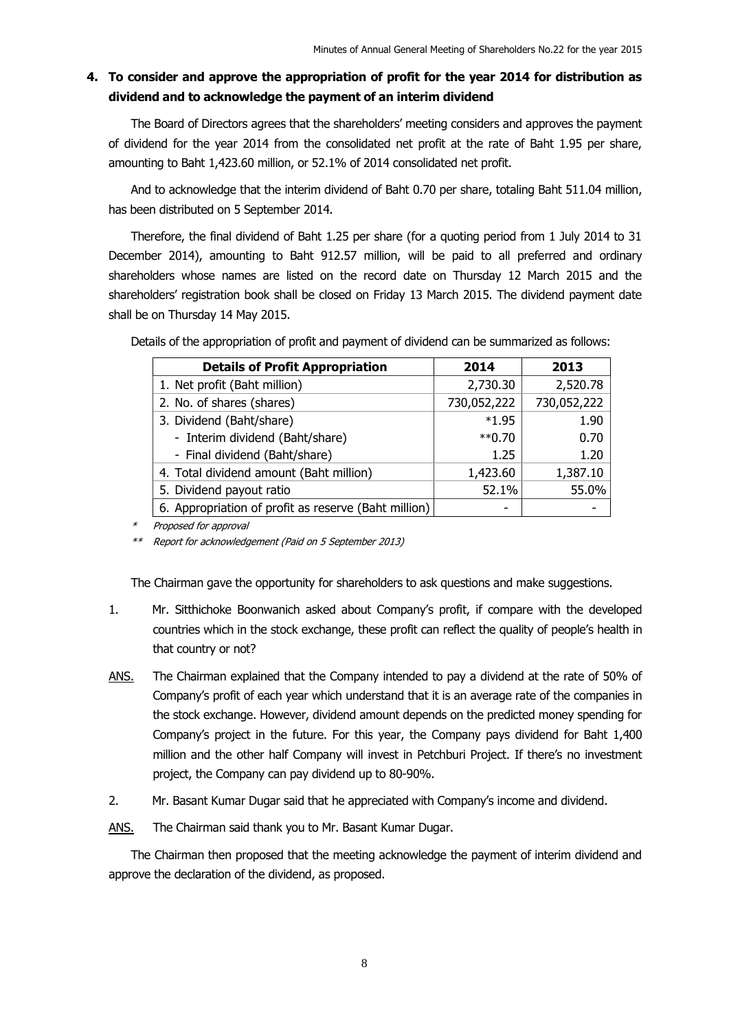# **4. To consider and approve the appropriation of profit for the year 2014 for distribution as dividend and to acknowledge the payment of an interim dividend**

The Board of Directors agrees that the shareholders' meeting considers and approves the payment of dividend for the year 2014 from the consolidated net profit at the rate of Baht 1.95 per share, amounting to Baht 1,423.60 million, or 52.1% of 2014 consolidated net profit.

And to acknowledge that the interim dividend of Baht 0.70 per share, totaling Baht 511.04 million, has been distributed on 5 September 2014.

Therefore, the final dividend of Baht 1.25 per share (for a quoting period from 1 July 2014 to 31 December 2014), amounting to Baht 912.57 million, will be paid to all preferred and ordinary shareholders whose names are listed on the record date on Thursday 12 March 2015 and the shareholders' registration book shall be closed on Friday 13 March 2015. The dividend payment date shall be on Thursday 14 May 2015.

Details of the appropriation of profit and payment of dividend can be summarized as follows:

| <b>Details of Profit Appropriation</b>               | 2014         | 2013        |
|------------------------------------------------------|--------------|-------------|
| 1. Net profit (Baht million)                         | 2,730.30     | 2,520.78    |
| 2. No. of shares (shares)                            | 730,052,222  | 730,052,222 |
| 3. Dividend (Baht/share)                             | $*1.95$      | 1.90        |
| - Interim dividend (Baht/share)                      | $*$ $*$ 0.70 | 0.70        |
| - Final dividend (Baht/share)                        | 1.25         | 1.20        |
| 4. Total dividend amount (Baht million)              | 1,423.60     | 1,387.10    |
| 5. Dividend payout ratio                             | 52.1%        | 55.0%       |
| 6. Appropriation of profit as reserve (Baht million) |              |             |

\* Proposed for approval

\*\* Report for acknowledgement (Paid on 5 September 2013)

The Chairman gave the opportunity for shareholders to ask questions and make suggestions.

- 1. Mr. Sitthichoke Boonwanich asked about Company's profit, if compare with the developed countries which in the stock exchange, these profit can reflect the quality of people's health in that country or not?
- ANS. The Chairman explained that the Company intended to pay a dividend at the rate of 50% of Company's profit of each year which understand that it is an average rate of the companies in the stock exchange. However, dividend amount depends on the predicted money spending for Company's project in the future. For this year, the Company pays dividend for Baht 1,400 million and the other half Company will invest in Petchburi Project. If there's no investment project, the Company can pay dividend up to 80-90%.
- 2. Mr. Basant Kumar Dugar said that he appreciated with Company's income and dividend.

ANS. The Chairman said thank you to Mr. Basant Kumar Dugar.

The Chairman then proposed that the meeting acknowledge the payment of interim dividend and approve the declaration of the dividend, as proposed.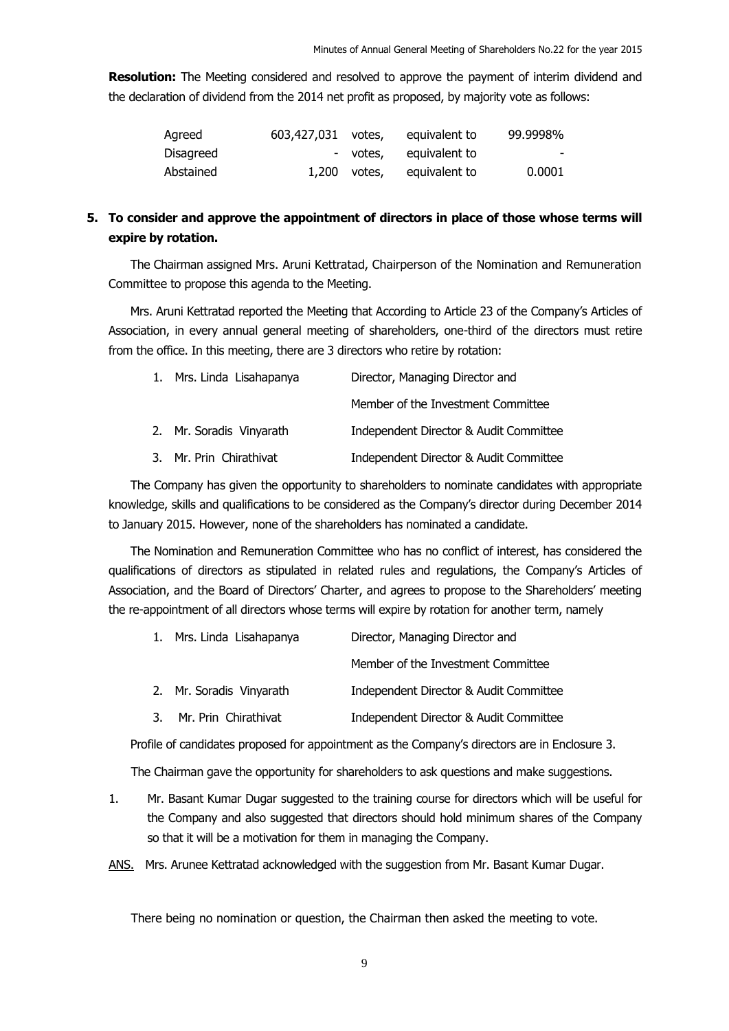**Resolution:** The Meeting considered and resolved to approve the payment of interim dividend and the declaration of dividend from the 2014 net profit as proposed, by majority vote as follows:

| Agreed    | 603,427,031 votes, |              | equivalent to | 99.9998% |
|-----------|--------------------|--------------|---------------|----------|
| Disagreed |                    | - votes,     | equivalent to | $\sim$   |
| Abstained |                    | 1,200 votes, | equivalent to | 0.0001   |

# **5. To consider and approve the appointment of directors in place of those whose terms will expire by rotation.**

The Chairman assigned Mrs. Aruni Kettratad, Chairperson of the Nomination and Remuneration Committee to propose this agenda to the Meeting.

Mrs. Aruni Kettratad reported the Meeting that According to Article 23 of the Company's Articles of Association, in every annual general meeting of shareholders, one-third of the directors must retire from the office. In this meeting, there are 3 directors who retire by rotation:

| 1. Mrs. Linda Lisahapanya | Director, Managing Director and        |
|---------------------------|----------------------------------------|
|                           | Member of the Investment Committee     |
| 2. Mr. Soradis Vinyarath  | Independent Director & Audit Committee |
| 3. Mr. Prin Chirathivat   | Independent Director & Audit Committee |

The Company has given the opportunity to shareholders to nominate candidates with appropriate knowledge, skills and qualifications to be considered as the Company's director during December 2014 to January 2015. However, none of the shareholders has nominated a candidate.

The Nomination and Remuneration Committee who has no conflict of interest, has considered the qualifications of directors as stipulated in related rules and regulations, the Company's Articles of Association, and the Board of Directors' Charter, and agrees to propose to the Shareholders' meeting the re-appointment of all directors whose terms will expire by rotation for another term, namely

| 1. Mrs. Linda Lisahapanya | Director, Managing Director and        |  |
|---------------------------|----------------------------------------|--|
|                           | Member of the Investment Committee     |  |
| 2. Mr. Soradis Vinyarath  | Independent Director & Audit Committee |  |
| 3. Mr. Prin Chirathivat   | Independent Director & Audit Committee |  |

Profile of candidates proposed for appointment as the Company's directors are in Enclosure 3.

The Chairman gave the opportunity for shareholders to ask questions and make suggestions.

- 1. Mr. Basant Kumar Dugar suggested to the training course for directors which will be useful for the Company and also suggested that directors should hold minimum shares of the Company so that it will be a motivation for them in managing the Company.
- ANS. Mrs. Arunee Kettratad acknowledged with the suggestion from Mr. Basant Kumar Dugar.

There being no nomination or question, the Chairman then asked the meeting to vote.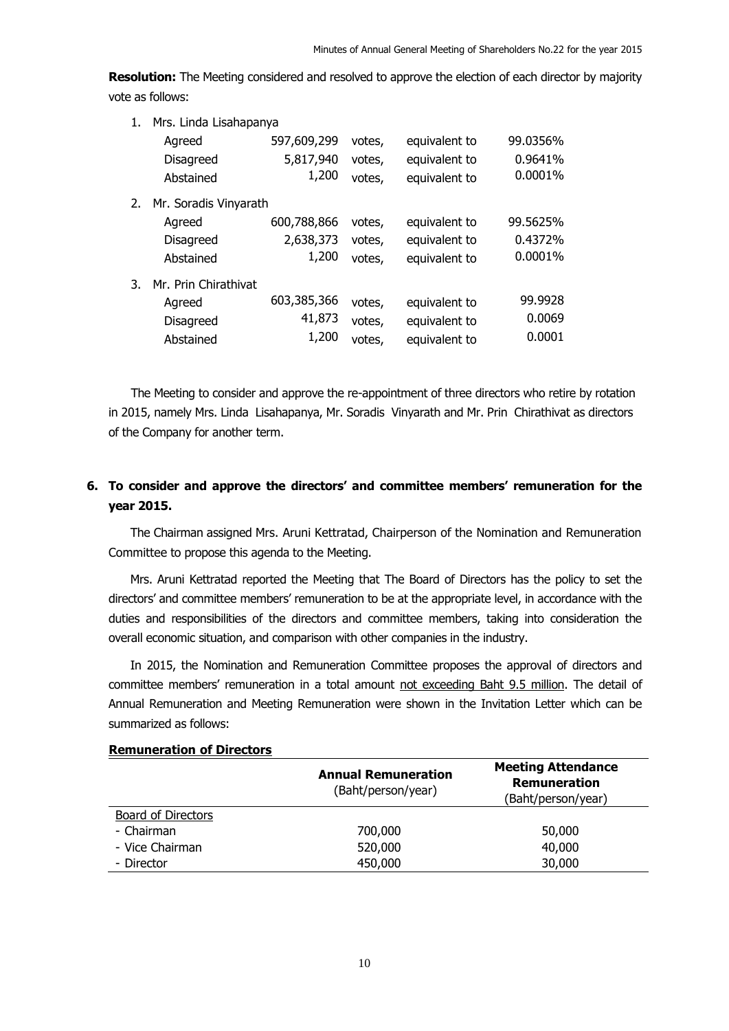**Resolution:** The Meeting considered and resolved to approve the election of each director by majority vote as follows:

| 1. | Mrs. Linda Lisahapanya |             |        |               |          |
|----|------------------------|-------------|--------|---------------|----------|
|    | Agreed                 | 597,609,299 | votes, | equivalent to | 99.0356% |
|    | <b>Disagreed</b>       | 5,817,940   | votes, | equivalent to | 0.9641%  |
|    | Abstained              | 1,200       | votes, | equivalent to | 0.0001%  |
| 2. | Mr. Soradis Vinyarath  |             |        |               |          |
|    | Agreed                 | 600,788,866 | votes, | equivalent to | 99.5625% |
|    | <b>Disagreed</b>       | 2,638,373   | votes, | equivalent to | 0.4372%  |
|    | Abstained              | 1,200       | votes, | equivalent to | 0.0001%  |
| 3. | Mr. Prin Chirathivat   |             |        |               |          |
|    | Agreed                 | 603,385,366 | votes, | equivalent to | 99.9928  |
|    | Disagreed              | 41,873      | votes, | equivalent to | 0.0069   |
|    | Abstained              | 1,200       | votes, | equivalent to | 0.0001   |

The Meeting to consider and approve the re-appointment of three directors who retire by rotation in 2015, namely Mrs. Linda Lisahapanya, Mr. Soradis Vinyarath and Mr. Prin Chirathivat as directors of the Company for another term.

# **6. To consider and approve the directors' and committee members' remuneration for the year 2015.**

The Chairman assigned Mrs. Aruni Kettratad, Chairperson of the Nomination and Remuneration Committee to propose this agenda to the Meeting.

Mrs. Aruni Kettratad reported the Meeting that The Board of Directors has the policy to set the directors' and committee members' remuneration to be at the appropriate level, in accordance with the duties and responsibilities of the directors and committee members, taking into consideration the overall economic situation, and comparison with other companies in the industry.

In 2015, the Nomination and Remuneration Committee proposes the approval of directors and committee members' remuneration in a total amount not exceeding Baht 9.5 million. The detail of Annual Remuneration and Meeting Remuneration were shown in the Invitation Letter which can be summarized as follows:

|                           | <b>Annual Remuneration</b><br>(Baht/person/year) | <b>Meeting Attendance</b><br>Remuneration<br>(Baht/person/year) |
|---------------------------|--------------------------------------------------|-----------------------------------------------------------------|
| <b>Board of Directors</b> |                                                  |                                                                 |
| - Chairman                | 700,000                                          | 50,000                                                          |
| - Vice Chairman           | 520,000                                          | 40,000                                                          |
| - Director                | 450,000                                          | 30,000                                                          |

#### **Remuneration of Directors**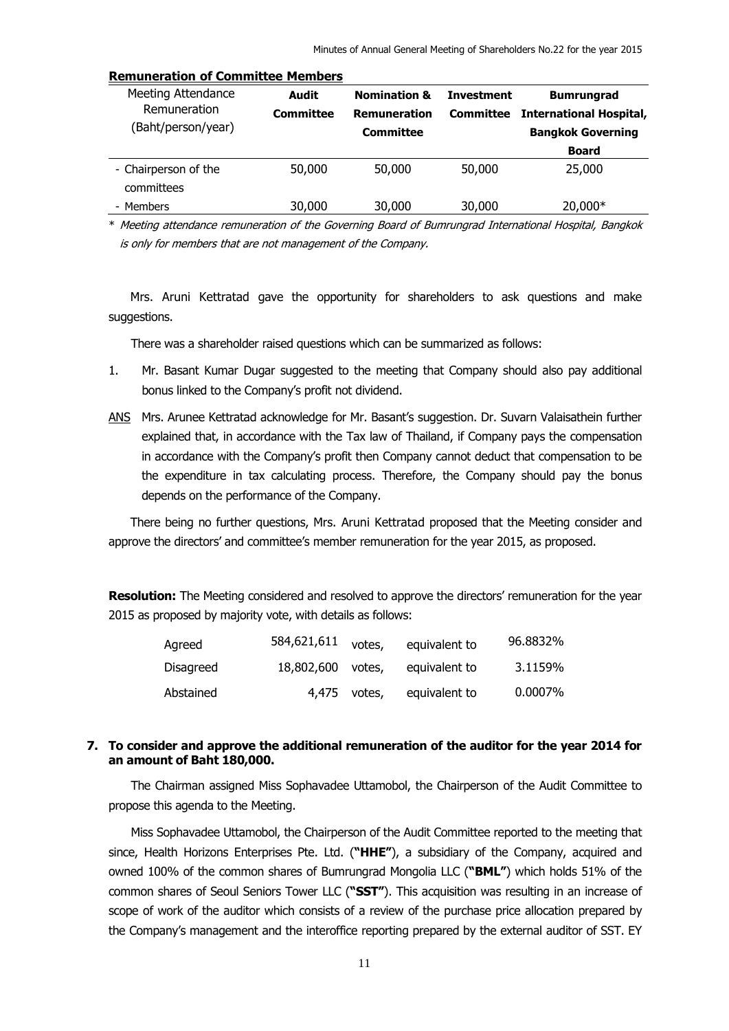| Meeting Attendance<br>Remuneration<br>(Baht/person/year) | Audit<br>Committee | <b>Nomination &amp;</b><br><b>Remuneration</b><br>Committee | <b>Investment</b><br><b>Committee</b> | <b>Bumrungrad</b><br><b>International Hospital,</b><br><b>Bangkok Governing</b> |
|----------------------------------------------------------|--------------------|-------------------------------------------------------------|---------------------------------------|---------------------------------------------------------------------------------|
|                                                          |                    |                                                             |                                       | Board                                                                           |
| - Chairperson of the<br>committees                       | 50,000             | 50,000                                                      | 50,000                                | 25,000                                                                          |
| - Members                                                | 30,000             | 30,000                                                      | 30,000                                | 20,000*                                                                         |

# **Remuneration of Committee Members**

\* Meeting attendance remuneration of the Governing Board of Bumrungrad International Hospital, Bangkok is only for members that are not management of the Company.

Mrs. Aruni Kettratad gave the opportunity for shareholders to ask questions and make suggestions.

There was a shareholder raised questions which can be summarized as follows:

- 1. Mr. Basant Kumar Dugar suggested to the meeting that Company should also pay additional bonus linked to the Company's profit not dividend.
- ANS Mrs. Arunee Kettratad acknowledge for Mr. Basant's suggestion. Dr. Suvarn Valaisathein further explained that, in accordance with the Tax law of Thailand, if Company pays the compensation in accordance with the Company's profit then Company cannot deduct that compensation to be the expenditure in tax calculating process. Therefore, the Company should pay the bonus depends on the performance of the Company.

There being no further questions, Mrs. Aruni Kettratad proposed that the Meeting consider and approve the directors' and committee's member remuneration for the year 2015, as proposed.

**Resolution:** The Meeting considered and resolved to approve the directors' remuneration for the year 2015 as proposed by majority vote, with details as follows:

| Agreed    | 584,621,611 <sub>votes,</sub> |              | equivalent to | 96.8832% |
|-----------|-------------------------------|--------------|---------------|----------|
| Disagreed | 18,802,600 votes,             |              | equivalent to | 3.1159%  |
| Abstained |                               | 4,475 votes, | equivalent to | 0.0007%  |

## **7. To consider and approve the additional remuneration of the auditor for the year 2014 for an amount of Baht 180,000.**

The Chairman assigned Miss Sophavadee Uttamobol, the Chairperson of the Audit Committee to propose this agenda to the Meeting.

Miss Sophavadee Uttamobol, the Chairperson of the Audit Committee reported to the meeting that since, Health Horizons Enterprises Pte. Ltd. (**"HHE"**), a subsidiary of the Company, acquired and owned 100% of the common shares of Bumrungrad Mongolia LLC (**"BML"**) which holds 51% of the common shares of Seoul Seniors Tower LLC (**"SST"**). This acquisition was resulting in an increase of scope of work of the auditor which consists of a review of the purchase price allocation prepared by the Company's management and the interoffice reporting prepared by the external auditor of SST. EY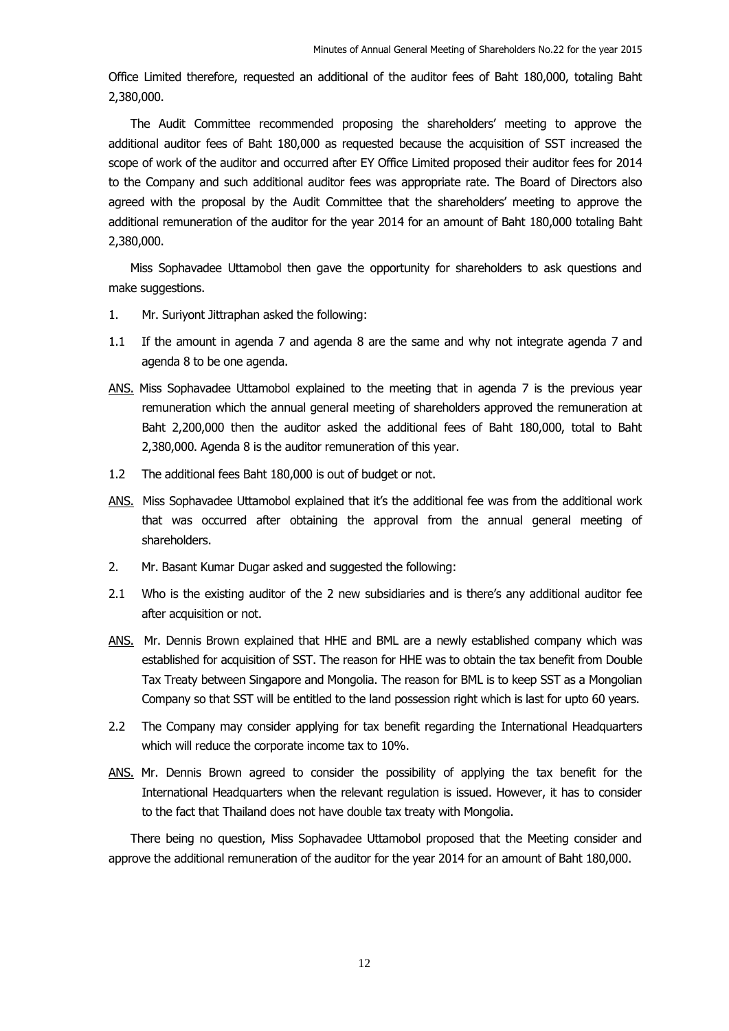Office Limited therefore, requested an additional of the auditor fees of Baht 180,000, totaling Baht 2,380,000.

The Audit Committee recommended proposing the shareholders' meeting to approve the additional auditor fees of Baht 180,000 as requested because the acquisition of SST increased the scope of work of the auditor and occurred after EY Office Limited proposed their auditor fees for 2014 to the Company and such additional auditor fees was appropriate rate. The Board of Directors also agreed with the proposal by the Audit Committee that the shareholders' meeting to approve the additional remuneration of the auditor for the year 2014 for an amount of Baht 180,000 totaling Baht 2,380,000.

Miss Sophavadee Uttamobol then gave the opportunity for shareholders to ask questions and make suggestions.

- 1. Mr. Suriyont Jittraphan asked the following:
- 1.1 If the amount in agenda 7 and agenda 8 are the same and why not integrate agenda 7 and agenda 8 to be one agenda.
- ANS. Miss Sophavadee Uttamobol explained to the meeting that in agenda 7 is the previous year remuneration which the annual general meeting of shareholders approved the remuneration at Baht 2,200,000 then the auditor asked the additional fees of Baht 180,000, total to Baht 2,380,000. Agenda 8 is the auditor remuneration of this year.
- 1.2 The additional fees Baht 180,000 is out of budget or not.
- ANS. Miss Sophavadee Uttamobol explained that it's the additional fee was from the additional work that was occurred after obtaining the approval from the annual general meeting of shareholders.
- 2. Mr. Basant Kumar Dugar asked and suggested the following:
- 2.1 Who is the existing auditor of the 2 new subsidiaries and is there's any additional auditor fee after acquisition or not.
- ANS. Mr. Dennis Brown explained that HHE and BML are a newly established company which was established for acquisition of SST. The reason for HHE was to obtain the tax benefit from Double Tax Treaty between Singapore and Mongolia. The reason for BML is to keep SST as a Mongolian Company so that SST will be entitled to the land possession right which is last for upto 60 years.
- 2.2 The Company may consider applying for tax benefit regarding the International Headquarters which will reduce the corporate income tax to 10%.
- ANS. Mr. Dennis Brown agreed to consider the possibility of applying the tax benefit for the International Headquarters when the relevant regulation is issued. However, it has to consider to the fact that Thailand does not have double tax treaty with Mongolia.

There being no question, Miss Sophavadee Uttamobol proposed that the Meeting consider and approve the additional remuneration of the auditor for the year 2014 for an amount of Baht 180,000.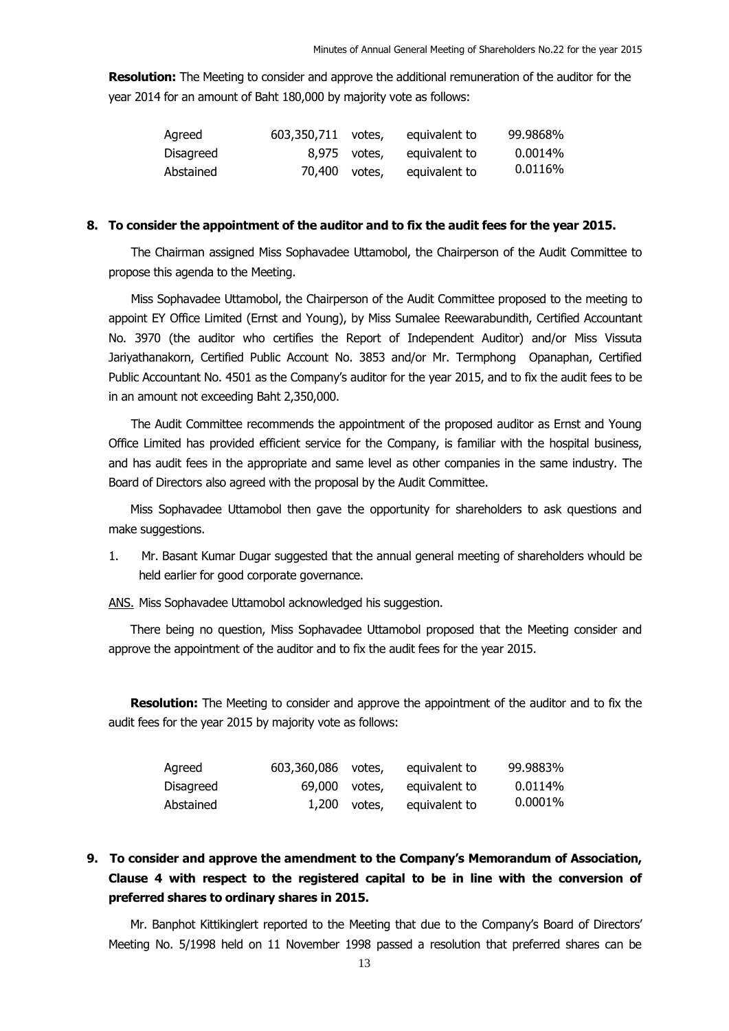**Resolution:** The Meeting to consider and approve the additional remuneration of the auditor for the year 2014 for an amount of Baht 180,000 by majority vote as follows:

| Agreed    | 603,350,711 votes, |              | equivalent to | 99.9868%   |
|-----------|--------------------|--------------|---------------|------------|
| Disagreed |                    | 8,975 votes, | equivalent to | $0.0014\%$ |
| Abstained | 70,400 votes,      |              | equivalent to | 0.0116%    |

#### **8. To consider the appointment of the auditor and to fix the audit fees for the year 2015.**

The Chairman assigned Miss Sophavadee Uttamobol, the Chairperson of the Audit Committee to propose this agenda to the Meeting.

Miss Sophavadee Uttamobol, the Chairperson of the Audit Committee proposed to the meeting to appoint EY Office Limited (Ernst and Young), by Miss Sumalee Reewarabundith, Certified Accountant No. 3970 (the auditor who certifies the Report of Independent Auditor) and/or Miss Vissuta Jariyathanakorn, Certified Public Account No. 3853 and/or Mr. Termphong Opanaphan, Certified Public Accountant No. 4501 as the Company's auditor for the year 2015, and to fix the audit fees to be in an amount not exceeding Baht 2,350,000.

The Audit Committee recommends the appointment of the proposed auditor as Ernst and Young Office Limited has provided efficient service for the Company, is familiar with the hospital business, and has audit fees in the appropriate and same level as other companies in the same industry. The Board of Directors also agreed with the proposal by the Audit Committee.

Miss Sophavadee Uttamobol then gave the opportunity for shareholders to ask questions and make suggestions.

1. Mr. Basant Kumar Dugar suggested that the annual general meeting of shareholders whould be held earlier for good corporate governance.

ANS. Miss Sophavadee Uttamobol acknowledged his suggestion.

There being no question, Miss Sophavadee Uttamobol proposed that the Meeting consider and approve the appointment of the auditor and to fix the audit fees for the year 2015.

**Resolution:** The Meeting to consider and approve the appointment of the auditor and to fix the audit fees for the year 2015 by majority vote as follows:

| Agreed    | 603,360,086 votes, |              | equivalent to | 99.9883% |
|-----------|--------------------|--------------|---------------|----------|
| Disagreed | 69,000 votes,      |              | equivalent to | 0.0114%  |
| Abstained |                    | 1,200 votes, | equivalent to | 0.0001%  |

# **9. To consider and approve the amendment to the Company's Memorandum of Association, Clause 4 with respect to the registered capital to be in line with the conversion of preferred shares to ordinary shares in 2015.**

Mr. Banphot Kittikinglert reported to the Meeting that due to the Company's Board of Directors' Meeting No. 5/1998 held on 11 November 1998 passed a resolution that preferred shares can be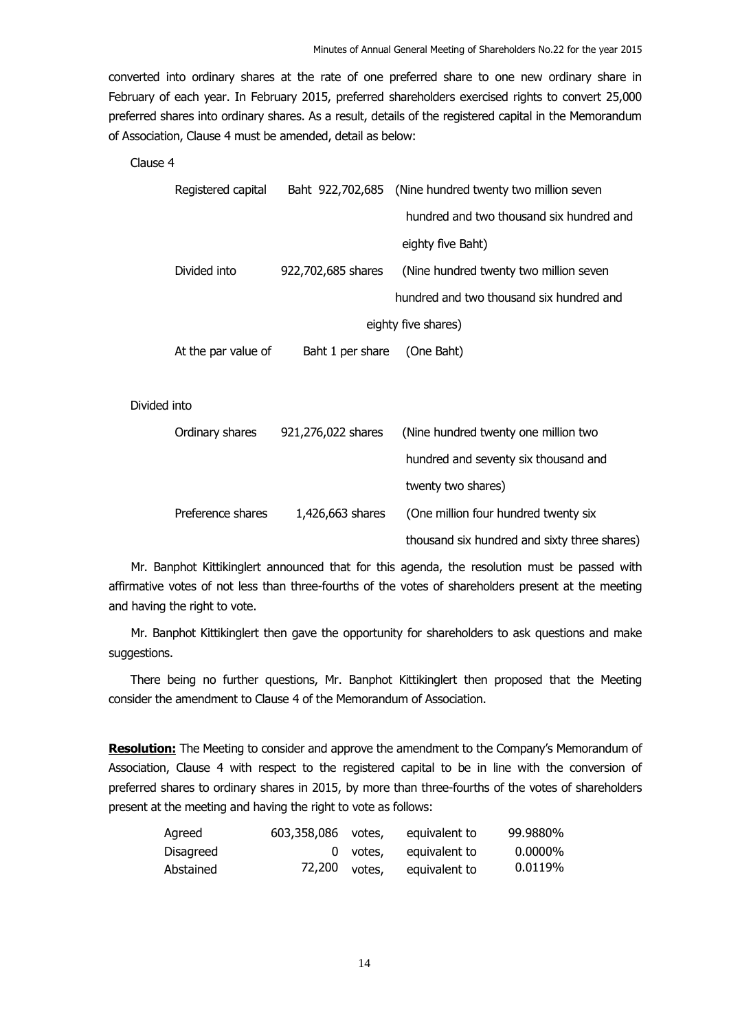converted into ordinary shares at the rate of one preferred share to one new ordinary share in February of each year. In February 2015, preferred shareholders exercised rights to convert 25,000 preferred shares into ordinary shares. As a result, details of the registered capital in the Memorandum of Association, Clause 4 must be amended, detail as below:

#### Clause 4

| Registered capital  |                    | Baht 922,702,685 (Nine hundred twenty two million seven |  |
|---------------------|--------------------|---------------------------------------------------------|--|
|                     |                    | hundred and two thousand six hundred and                |  |
|                     |                    | eighty five Baht)                                       |  |
| Divided into        | 922,702,685 shares | (Nine hundred twenty two million seven                  |  |
|                     |                    | hundred and two thousand six hundred and                |  |
| eighty five shares) |                    |                                                         |  |
| At the par value of | Baht 1 per share   | (One Baht)                                              |  |
|                     |                    |                                                         |  |

#### Divided into

| Ordinary shares   | 921,276,022 shares | (Nine hundred twenty one million two         |
|-------------------|--------------------|----------------------------------------------|
|                   |                    | hundred and seventy six thousand and         |
|                   |                    | twenty two shares)                           |
| Preference shares | 1,426,663 shares   | (One million four hundred twenty six         |
|                   |                    | thousand six hundred and sixty three shares) |

Mr. Banphot Kittikinglert announced that for this agenda, the resolution must be passed with affirmative votes of not less than three-fourths of the votes of shareholders present at the meeting and having the right to vote.

Mr. Banphot Kittikinglert then gave the opportunity for shareholders to ask questions and make suggestions.

There being no further questions, Mr. Banphot Kittikinglert then proposed that the Meeting consider the amendment to Clause 4 of the Memorandum of Association.

**Resolution:** The Meeting to consider and approve the amendment to the Company's Memorandum of Association, Clause 4 with respect to the registered capital to be in line with the conversion of preferred shares to ordinary shares in 2015, by more than three-fourths of the votes of shareholders present at the meeting and having the right to vote as follows:

| Agreed    | 603,358,086 votes, |          | equivalent to | 99.9880%   |
|-----------|--------------------|----------|---------------|------------|
| Disagreed |                    | 0 votes, | equivalent to | $0.0000\%$ |
| Abstained | 72,200 votes,      |          | equivalent to | 0.0119%    |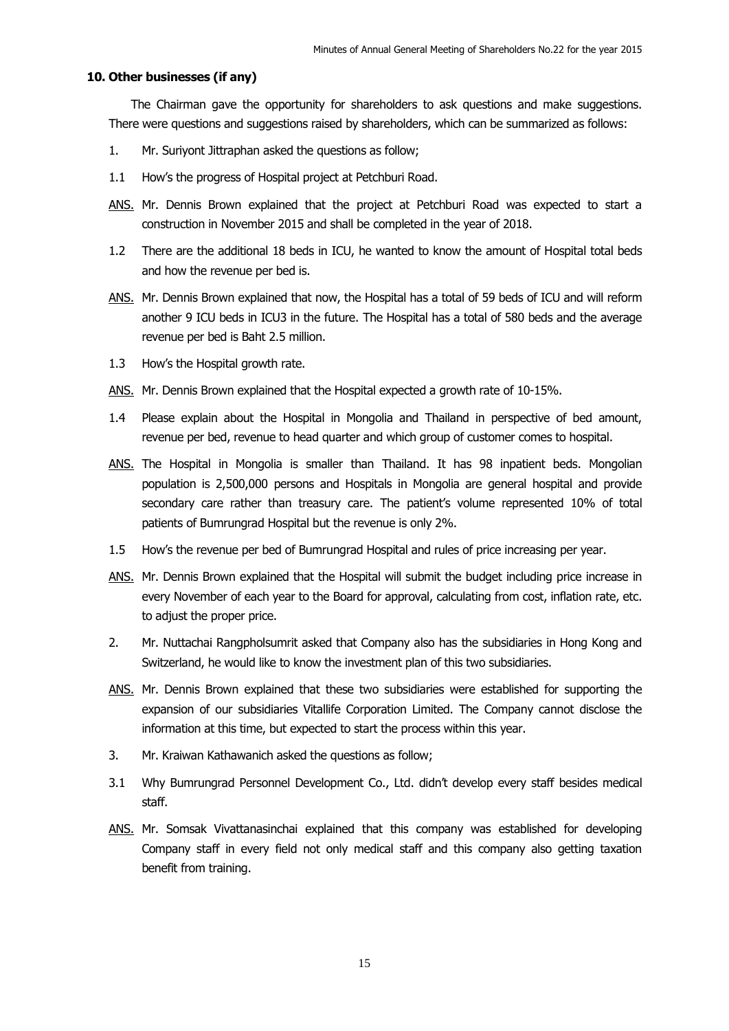### **10. Other businesses (if any)**

The Chairman gave the opportunity for shareholders to ask questions and make suggestions. There were questions and suggestions raised by shareholders, which can be summarized as follows:

- 1. Mr. Suriyont Jittraphan asked the questions as follow;
- 1.1 How's the progress of Hospital project at Petchburi Road.
- ANS. Mr. Dennis Brown explained that the project at Petchburi Road was expected to start a construction in November 2015 and shall be completed in the year of 2018.
- 1.2 There are the additional 18 beds in ICU, he wanted to know the amount of Hospital total beds and how the revenue per bed is.
- ANS. Mr. Dennis Brown explained that now, the Hospital has a total of 59 beds of ICU and will reform another 9 ICU beds in ICU3 in the future. The Hospital has a total of 580 beds and the average revenue per bed is Baht 2.5 million.
- 1.3 How's the Hospital growth rate.
- ANS. Mr. Dennis Brown explained that the Hospital expected a growth rate of 10-15%.
- 1.4 Please explain about the Hospital in Mongolia and Thailand in perspective of bed amount, revenue per bed, revenue to head quarter and which group of customer comes to hospital.
- ANS. The Hospital in Mongolia is smaller than Thailand. It has 98 inpatient beds. Mongolian population is 2,500,000 persons and Hospitals in Mongolia are general hospital and provide secondary care rather than treasury care. The patient's volume represented 10% of total patients of Bumrungrad Hospital but the revenue is only 2%.
- 1.5 How's the revenue per bed of Bumrungrad Hospital and rules of price increasing per year.
- ANS. Mr. Dennis Brown explained that the Hospital will submit the budget including price increase in every November of each year to the Board for approval, calculating from cost, inflation rate, etc. to adjust the proper price.
- 2. Mr. Nuttachai Rangpholsumrit asked that Company also has the subsidiaries in Hong Kong and Switzerland, he would like to know the investment plan of this two subsidiaries.
- ANS. Mr. Dennis Brown explained that these two subsidiaries were established for supporting the expansion of our subsidiaries Vitallife Corporation Limited. The Company cannot disclose the information at this time, but expected to start the process within this year.
- 3. Mr. Kraiwan Kathawanich asked the questions as follow;
- 3.1 Why Bumrungrad Personnel Development Co., Ltd. didn't develop every staff besides medical staff.
- ANS. Mr. Somsak Vivattanasinchai explained that this company was established for developing Company staff in every field not only medical staff and this company also getting taxation benefit from training.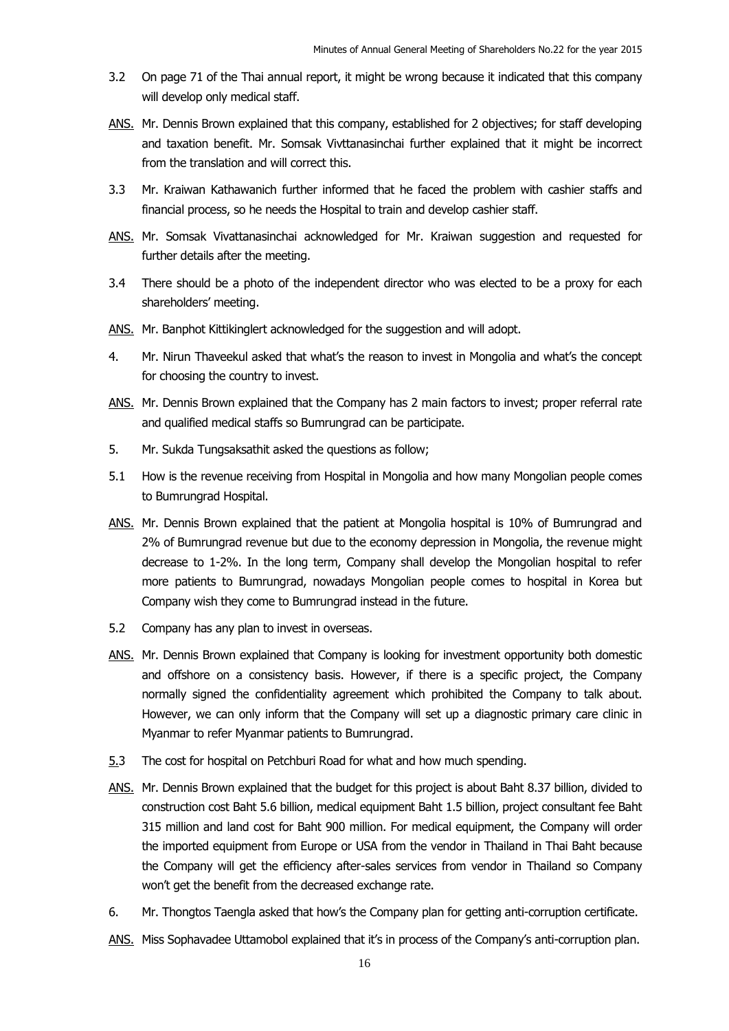- 3.2 On page 71 of the Thai annual report, it might be wrong because it indicated that this company will develop only medical staff.
- ANS. Mr. Dennis Brown explained that this company, established for 2 objectives; for staff developing and taxation benefit. Mr. Somsak Vivttanasinchai further explained that it might be incorrect from the translation and will correct this.
- 3.3 Mr. Kraiwan Kathawanich further informed that he faced the problem with cashier staffs and financial process, so he needs the Hospital to train and develop cashier staff.
- ANS. Mr. Somsak Vivattanasinchai acknowledged for Mr. Kraiwan suggestion and requested for further details after the meeting.
- 3.4 There should be a photo of the independent director who was elected to be a proxy for each shareholders' meeting.
- ANS. Mr. Banphot Kittikinglert acknowledged for the suggestion and will adopt.
- 4. Mr. Nirun Thaveekul asked that what's the reason to invest in Mongolia and what's the concept for choosing the country to invest.
- ANS. Mr. Dennis Brown explained that the Company has 2 main factors to invest; proper referral rate and qualified medical staffs so Bumrungrad can be participate.
- 5. Mr. Sukda Tungsaksathit asked the questions as follow;
- 5.1 How is the revenue receiving from Hospital in Mongolia and how many Mongolian people comes to Bumrungrad Hospital.
- ANS. Mr. Dennis Brown explained that the patient at Mongolia hospital is 10% of Bumrungrad and 2% of Bumrungrad revenue but due to the economy depression in Mongolia, the revenue might decrease to 1-2%. In the long term, Company shall develop the Mongolian hospital to refer more patients to Bumrungrad, nowadays Mongolian people comes to hospital in Korea but Company wish they come to Bumrungrad instead in the future.
- 5.2 Company has any plan to invest in overseas.
- ANS. Mr. Dennis Brown explained that Company is looking for investment opportunity both domestic and offshore on a consistency basis. However, if there is a specific project, the Company normally signed the confidentiality agreement which prohibited the Company to talk about. However, we can only inform that the Company will set up a diagnostic primary care clinic in Myanmar to refer Myanmar patients to Bumrungrad.
- 5.3 The cost for hospital on Petchburi Road for what and how much spending.
- ANS. Mr. Dennis Brown explained that the budget for this project is about Baht 8.37 billion, divided to construction cost Baht 5.6 billion, medical equipment Baht 1.5 billion, project consultant fee Baht 315 million and land cost for Baht 900 million. For medical equipment, the Company will order the imported equipment from Europe or USA from the vendor in Thailand in Thai Baht because the Company will get the efficiency after-sales services from vendor in Thailand so Company won't get the benefit from the decreased exchange rate.
- 6. Mr. Thongtos Taengla asked that how's the Company plan for getting anti-corruption certificate.
- ANS. Miss Sophavadee Uttamobol explained that it's in process of the Company's anti-corruption plan.